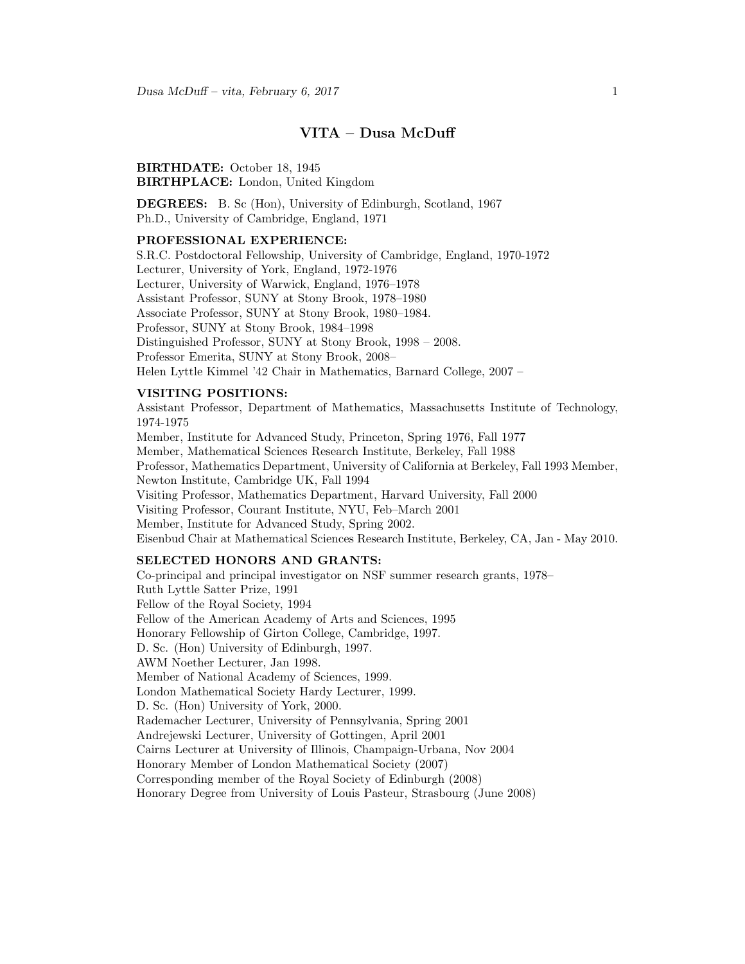# VITA – Dusa McDuff

BIRTHDATE: October 18, 1945 BIRTHPLACE: London, United Kingdom

DEGREES: B. Sc (Hon), University of Edinburgh, Scotland, 1967 Ph.D., University of Cambridge, England, 1971

### PROFESSIONAL EXPERIENCE:

S.R.C. Postdoctoral Fellowship, University of Cambridge, England, 1970-1972 Lecturer, University of York, England, 1972-1976 Lecturer, University of Warwick, England, 1976–1978 Assistant Professor, SUNY at Stony Brook, 1978–1980 Associate Professor, SUNY at Stony Brook, 1980–1984. Professor, SUNY at Stony Brook, 1984–1998 Distinguished Professor, SUNY at Stony Brook, 1998 – 2008. Professor Emerita, SUNY at Stony Brook, 2008– Helen Lyttle Kimmel '42 Chair in Mathematics, Barnard College, 2007 –

### VISITING POSITIONS:

Assistant Professor, Department of Mathematics, Massachusetts Institute of Technology, 1974-1975 Member, Institute for Advanced Study, Princeton, Spring 1976, Fall 1977 Member, Mathematical Sciences Research Institute, Berkeley, Fall 1988 Professor, Mathematics Department, University of California at Berkeley, Fall 1993 Member, Newton Institute, Cambridge UK, Fall 1994 Visiting Professor, Mathematics Department, Harvard University, Fall 2000 Visiting Professor, Courant Institute, NYU, Feb–March 2001 Member, Institute for Advanced Study, Spring 2002. Eisenbud Chair at Mathematical Sciences Research Institute, Berkeley, CA, Jan - May 2010.

### SELECTED HONORS AND GRANTS:

Co-principal and principal investigator on NSF summer research grants, 1978– Ruth Lyttle Satter Prize, 1991 Fellow of the Royal Society, 1994 Fellow of the American Academy of Arts and Sciences, 1995 Honorary Fellowship of Girton College, Cambridge, 1997. D. Sc. (Hon) University of Edinburgh, 1997. AWM Noether Lecturer, Jan 1998. Member of National Academy of Sciences, 1999. London Mathematical Society Hardy Lecturer, 1999. D. Sc. (Hon) University of York, 2000. Rademacher Lecturer, University of Pennsylvania, Spring 2001 Andrejewski Lecturer, University of Gottingen, April 2001 Cairns Lecturer at University of Illinois, Champaign-Urbana, Nov 2004 Honorary Member of London Mathematical Society (2007) Corresponding member of the Royal Society of Edinburgh (2008) Honorary Degree from University of Louis Pasteur, Strasbourg (June 2008)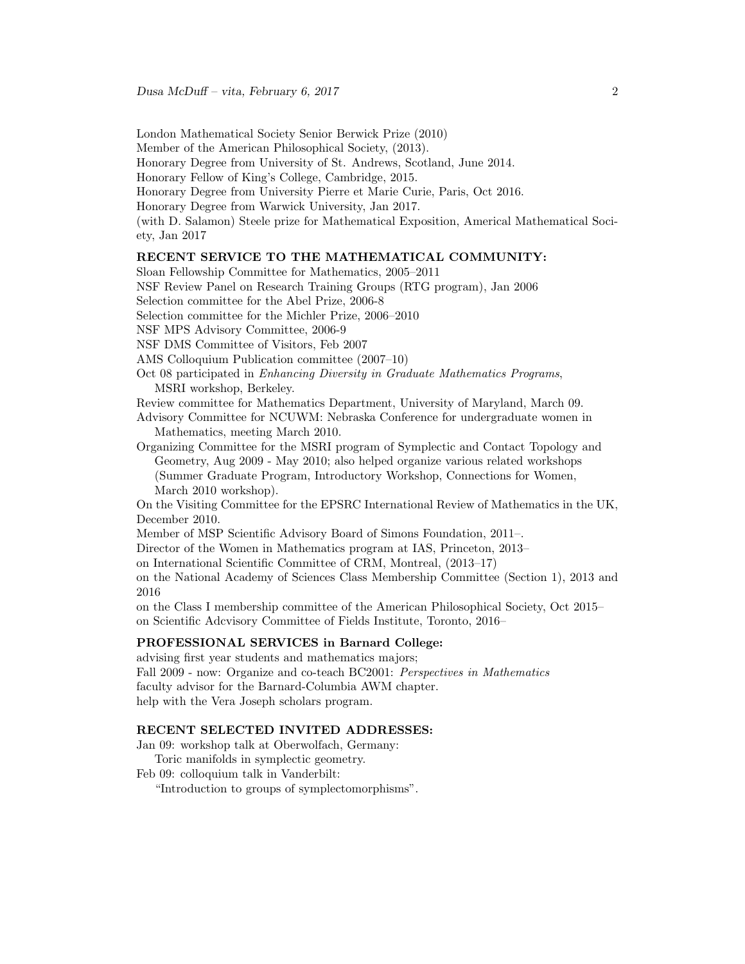London Mathematical Society Senior Berwick Prize (2010)

Member of the American Philosophical Society, (2013).

Honorary Degree from University of St. Andrews, Scotland, June 2014.

Honorary Fellow of King's College, Cambridge, 2015.

Honorary Degree from University Pierre et Marie Curie, Paris, Oct 2016.

Honorary Degree from Warwick University, Jan 2017.

(with D. Salamon) Steele prize for Mathematical Exposition, Americal Mathematical Society, Jan 2017

## RECENT SERVICE TO THE MATHEMATICAL COMMUNITY:

Sloan Fellowship Committee for Mathematics, 2005–2011

NSF Review Panel on Research Training Groups (RTG program), Jan 2006

Selection committee for the Abel Prize, 2006-8

Selection committee for the Michler Prize, 2006–2010

NSF MPS Advisory Committee, 2006-9

NSF DMS Committee of Visitors, Feb 2007

AMS Colloquium Publication committee (2007–10)

Oct 08 participated in Enhancing Diversity in Graduate Mathematics Programs, MSRI workshop, Berkeley.

Review committee for Mathematics Department, University of Maryland, March 09.

Advisory Committee for NCUWM: Nebraska Conference for undergraduate women in Mathematics, meeting March 2010.

Organizing Committee for the MSRI program of Symplectic and Contact Topology and Geometry, Aug 2009 - May 2010; also helped organize various related workshops (Summer Graduate Program, Introductory Workshop, Connections for Women, March 2010 workshop).

On the Visiting Committee for the EPSRC International Review of Mathematics in the UK, December 2010.

Member of MSP Scientific Advisory Board of Simons Foundation, 2011–.

Director of the Women in Mathematics program at IAS, Princeton, 2013–

on International Scientific Committee of CRM, Montreal, (2013–17)

on the National Academy of Sciences Class Membership Committee (Section 1), 2013 and 2016

on the Class I membership committee of the American Philosophical Society, Oct 2015– on Scientific Adcvisory Committee of Fields Institute, Toronto, 2016–

# PROFESSIONAL SERVICES in Barnard College:

advising first year students and mathematics majors; Fall 2009 - now: Organize and co-teach BC2001: Perspectives in Mathematics faculty advisor for the Barnard-Columbia AWM chapter. help with the Vera Joseph scholars program.

# RECENT SELECTED INVITED ADDRESSES:

Jan 09: workshop talk at Oberwolfach, Germany:

Toric manifolds in symplectic geometry.

Feb 09: colloquium talk in Vanderbilt:

"Introduction to groups of symplectomorphisms".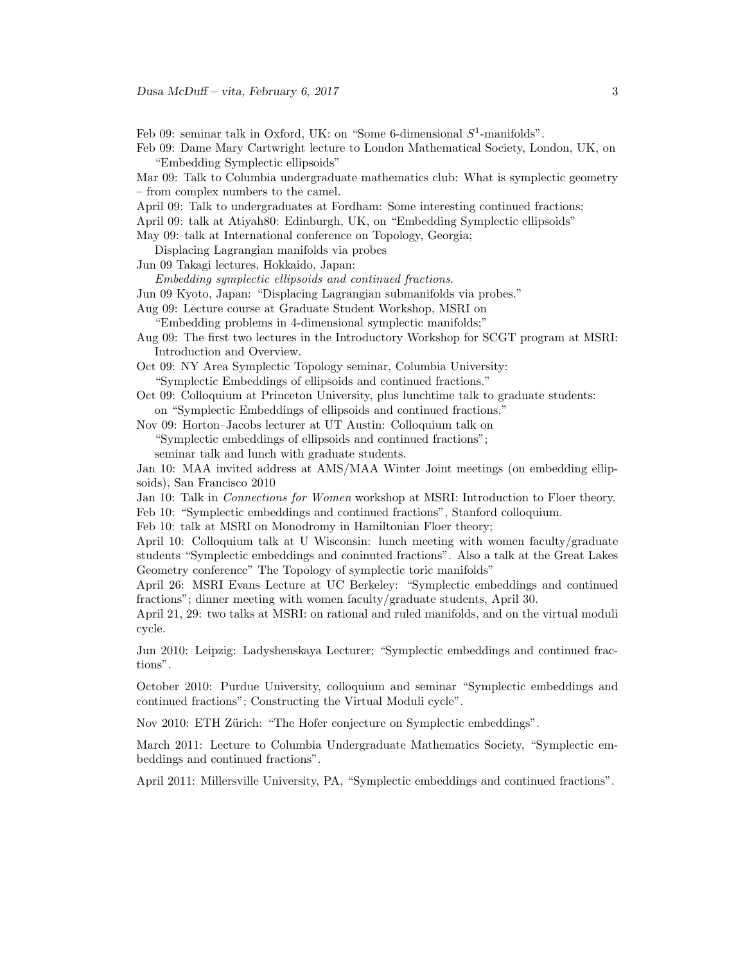Feb 09: seminar talk in Oxford, UK: on "Some 6-dimensional  $S^1$ -manifolds".

Feb 09: Dame Mary Cartwright lecture to London Mathematical Society, London, UK, on "Embedding Symplectic ellipsoids"

Mar 09: Talk to Columbia undergraduate mathematics club: What is symplectic geometry – from complex numbers to the camel.

April 09: Talk to undergraduates at Fordham: Some interesting continued fractions;

April 09: talk at Atiyah80: Edinburgh, UK, on "Embedding Symplectic ellipsoids"

May 09: talk at International conference on Topology, Georgia;

Displacing Lagrangian manifolds via probes

Jun 09 Takagi lectures, Hokkaido, Japan:

Embedding symplectic ellipsoids and continued fractions.

Jun 09 Kyoto, Japan: "Displacing Lagrangian submanifolds via probes."

Aug 09: Lecture course at Graduate Student Workshop, MSRI on

"Embedding problems in 4-dimensional symplectic manifolds;"

Aug 09: The first two lectures in the Introductory Workshop for SCGT program at MSRI: Introduction and Overview.

Oct 09: NY Area Symplectic Topology seminar, Columbia University:

"Symplectic Embeddings of ellipsoids and continued fractions."

Oct 09: Colloquium at Princeton University, plus lunchtime talk to graduate students: on "Symplectic Embeddings of ellipsoids and continued fractions."

Nov 09: Horton–Jacobs lecturer at UT Austin: Colloquium talk on "Symplectic embeddings of ellipsoids and continued fractions"; seminar talk and lunch with graduate students.

Jan 10: MAA invited address at AMS/MAA Winter Joint meetings (on embedding ellipsoids), San Francisco 2010

Jan 10: Talk in Connections for Women workshop at MSRI: Introduction to Floer theory. Feb 10: "Symplectic embeddings and continued fractions", Stanford colloquium.

Feb 10: talk at MSRI on Monodromy in Hamiltonian Floer theory;

April 10: Colloquium talk at U Wisconsin: lunch meeting with women faculty/graduate students "Symplectic embeddings and coninuted fractions". Also a talk at the Great Lakes Geometry conference" The Topology of symplectic toric manifolds"

April 26: MSRI Evans Lecture at UC Berkeley: "Symplectic embeddings and continued fractions"; dinner meeting with women faculty/graduate students, April 30.

April 21, 29: two talks at MSRI: on rational and ruled manifolds, and on the virtual moduli cycle.

Jun 2010: Leipzig: Ladyshenskaya Lecturer; "Symplectic embeddings and continued fractions".

October 2010: Purdue University, colloquium and seminar "Symplectic embeddings and continued fractions"; Constructing the Virtual Moduli cycle".

Nov 2010: ETH Zürich: "The Hofer conjecture on Symplectic embeddings".

March 2011: Lecture to Columbia Undergraduate Mathematics Society, "Symplectic embeddings and continued fractions".

April 2011: Millersville University, PA, "Symplectic embeddings and continued fractions".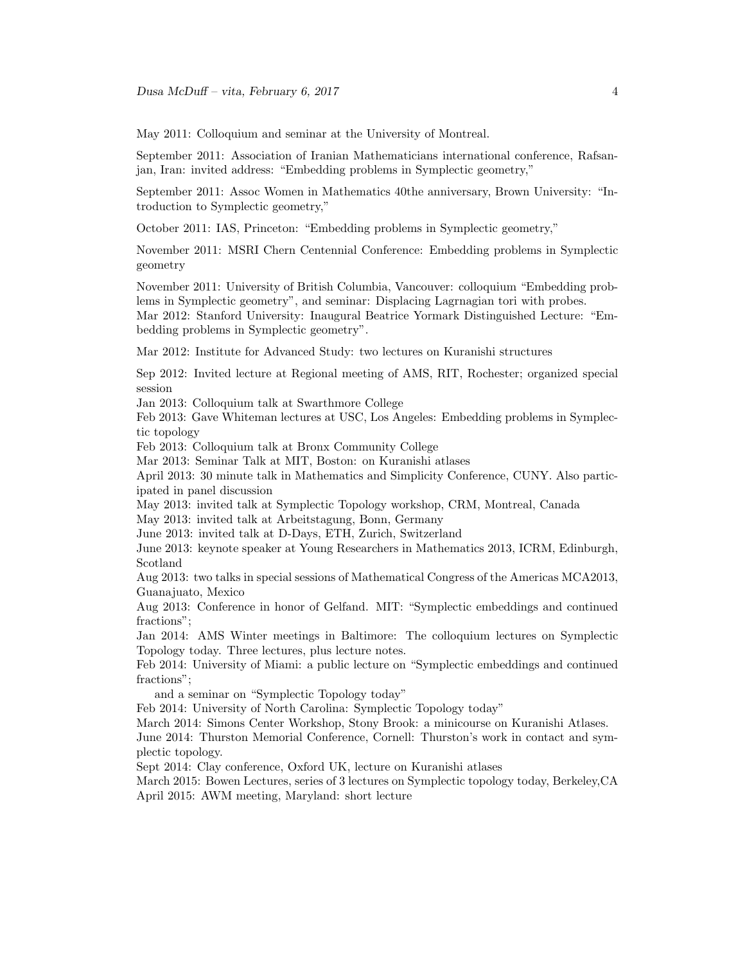May 2011: Colloquium and seminar at the University of Montreal.

September 2011: Association of Iranian Mathematicians international conference, Rafsanjan, Iran: invited address: "Embedding problems in Symplectic geometry,"

September 2011: Assoc Women in Mathematics 40the anniversary, Brown University: "Introduction to Symplectic geometry,"

October 2011: IAS, Princeton: "Embedding problems in Symplectic geometry,"

November 2011: MSRI Chern Centennial Conference: Embedding problems in Symplectic geometry

November 2011: University of British Columbia, Vancouver: colloquium "Embedding problems in Symplectic geometry", and seminar: Displacing Lagrnagian tori with probes. Mar 2012: Stanford University: Inaugural Beatrice Yormark Distinguished Lecture: "Embedding problems in Symplectic geometry".

Mar 2012: Institute for Advanced Study: two lectures on Kuranishi structures

Sep 2012: Invited lecture at Regional meeting of AMS, RIT, Rochester; organized special session

Jan 2013: Colloquium talk at Swarthmore College

Feb 2013: Gave Whiteman lectures at USC, Los Angeles: Embedding problems in Symplectic topology

Feb 2013: Colloquium talk at Bronx Community College

Mar 2013: Seminar Talk at MIT, Boston: on Kuranishi atlases

April 2013: 30 minute talk in Mathematics and Simplicity Conference, CUNY. Also participated in panel discussion

May 2013: invited talk at Symplectic Topology workshop, CRM, Montreal, Canada

May 2013: invited talk at Arbeitstagung, Bonn, Germany

June 2013: invited talk at D-Days, ETH, Zurich, Switzerland

June 2013: keynote speaker at Young Researchers in Mathematics 2013, ICRM, Edinburgh, Scotland

Aug 2013: two talks in special sessions of Mathematical Congress of the Americas MCA2013, Guanajuato, Mexico

Aug 2013: Conference in honor of Gelfand. MIT: "Symplectic embeddings and continued fractions";

Jan 2014: AMS Winter meetings in Baltimore: The colloquium lectures on Symplectic Topology today. Three lectures, plus lecture notes.

Feb 2014: University of Miami: a public lecture on "Symplectic embeddings and continued fractions";

and a seminar on "Symplectic Topology today"

Feb 2014: University of North Carolina: Symplectic Topology today"

March 2014: Simons Center Workshop, Stony Brook: a minicourse on Kuranishi Atlases.

June 2014: Thurston Memorial Conference, Cornell: Thurston's work in contact and symplectic topology.

Sept 2014: Clay conference, Oxford UK, lecture on Kuranishi atlases

March 2015: Bowen Lectures, series of 3 lectures on Symplectic topology today, Berkeley,CA April 2015: AWM meeting, Maryland: short lecture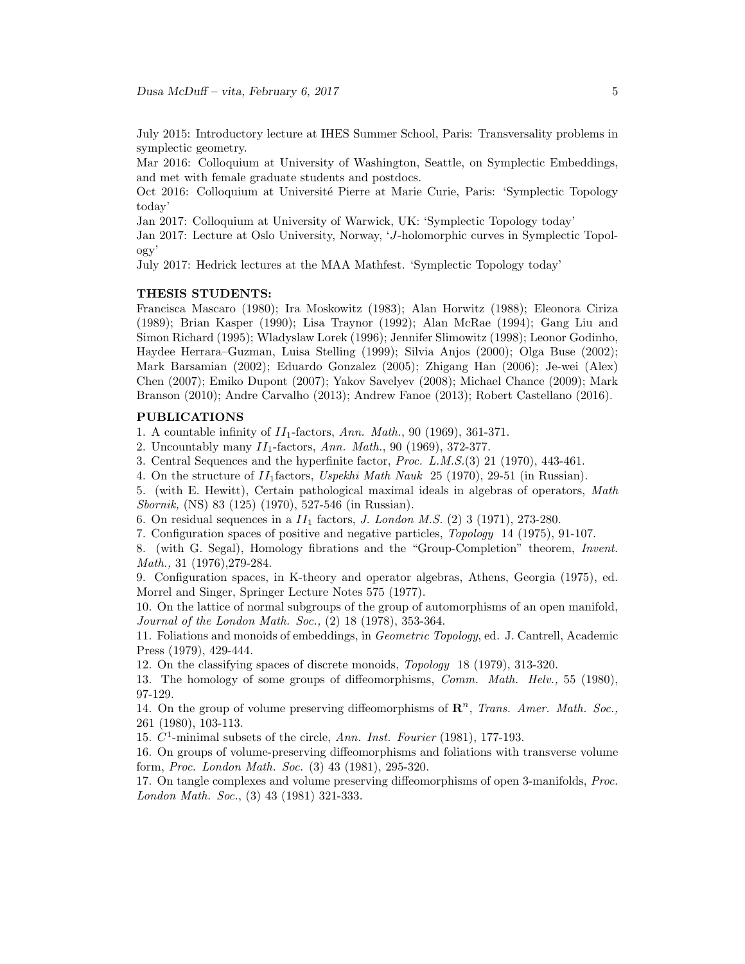July 2015: Introductory lecture at IHES Summer School, Paris: Transversality problems in symplectic geometry.

Mar 2016: Colloquium at University of Washington, Seattle, on Symplectic Embeddings, and met with female graduate students and postdocs.

Oct 2016: Colloquium at Université Pierre at Marie Curie, Paris: 'Symplectic Topology today'

Jan 2017: Colloquium at University of Warwick, UK: 'Symplectic Topology today'

Jan 2017: Lecture at Oslo University, Norway, 'J-holomorphic curves in Symplectic Topology'

July 2017: Hedrick lectures at the MAA Mathfest. 'Symplectic Topology today'

## THESIS STUDENTS:

Francisca Mascaro (1980); Ira Moskowitz (1983); Alan Horwitz (1988); Eleonora Ciriza (1989); Brian Kasper (1990); Lisa Traynor (1992); Alan McRae (1994); Gang Liu and Simon Richard (1995); Wladyslaw Lorek (1996); Jennifer Slimowitz (1998); Leonor Godinho, Haydee Herrara–Guzman, Luisa Stelling (1999); Silvia Anjos (2000); Olga Buse (2002); Mark Barsamian (2002); Eduardo Gonzalez (2005); Zhigang Han (2006); Je-wei (Alex) Chen (2007); Emiko Dupont (2007); Yakov Savelyev (2008); Michael Chance (2009); Mark Branson (2010); Andre Carvalho (2013); Andrew Fanoe (2013); Robert Castellano (2016).

### PUBLICATIONS

1. A countable infinity of  $II_1$ -factors, Ann. Math., 90 (1969), 361-371.

2. Uncountably many  $II_1$ -factors, Ann. Math., 90 (1969), 372-377.

3. Central Sequences and the hyperfinite factor, Proc. L.M.S.(3) 21 (1970), 443-461.

4. On the structure of  $II_1$  factors, Uspekhi Math Nauk 25 (1970), 29-51 (in Russian).

5. (with E. Hewitt), Certain pathological maximal ideals in algebras of operators, Math Sbornik, (NS) 83 (125) (1970), 527-546 (in Russian).

6. On residual sequences in a  $II_1$  factors, J. London M.S. (2) 3 (1971), 273-280.

7. Configuration spaces of positive and negative particles, Topology 14 (1975), 91-107.

8. (with G. Segal), Homology fibrations and the "Group-Completion" theorem, Invent. Math., 31 (1976),279-284.

9. Configuration spaces, in K-theory and operator algebras, Athens, Georgia (1975), ed. Morrel and Singer, Springer Lecture Notes 575 (1977).

10. On the lattice of normal subgroups of the group of automorphisms of an open manifold, Journal of the London Math. Soc., (2) 18 (1978), 353-364.

11. Foliations and monoids of embeddings, in Geometric Topology, ed. J. Cantrell, Academic Press (1979), 429-444.

12. On the classifying spaces of discrete monoids, Topology 18 (1979), 313-320.

13. The homology of some groups of diffeomorphisms, Comm. Math. Helv., 55 (1980), 97-129.

14. On the group of volume preserving diffeomorphisms of  $\mathbb{R}^n$ , Trans. Amer. Math. Soc., 261 (1980), 103-113.

15.  $C^1$ -minimal subsets of the circle, Ann. Inst. Fourier (1981), 177-193.

16. On groups of volume-preserving diffeomorphisms and foliations with transverse volume form, Proc. London Math. Soc. (3) 43 (1981), 295-320.

17. On tangle complexes and volume preserving diffeomorphisms of open 3-manifolds, Proc. London Math. Soc., (3) 43 (1981) 321-333.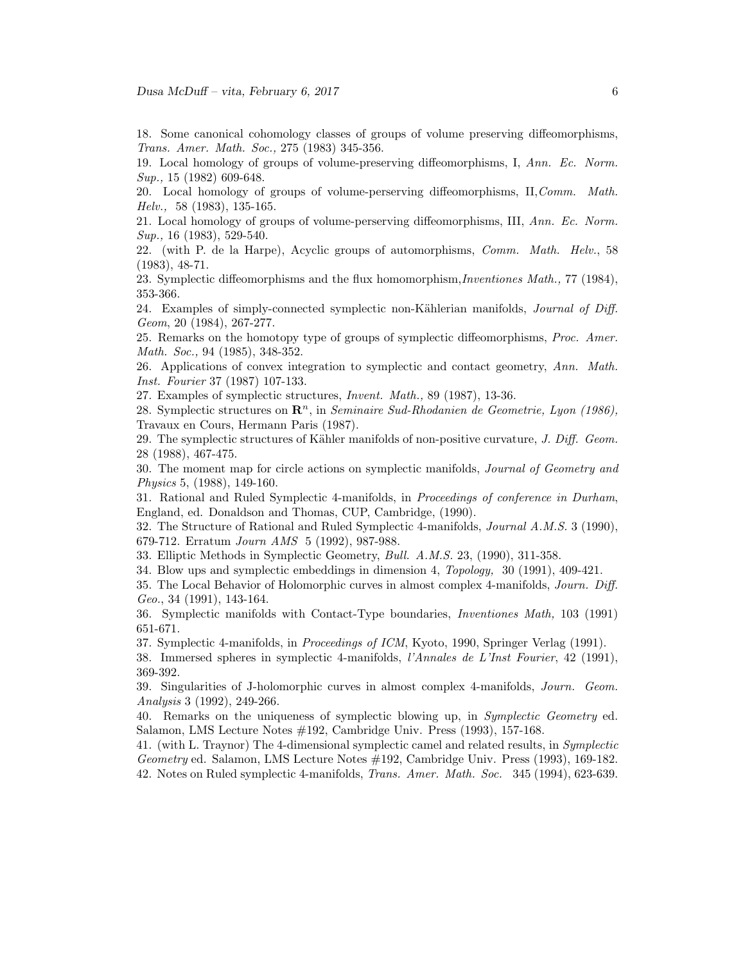18. Some canonical cohomology classes of groups of volume preserving diffeomorphisms, Trans. Amer. Math. Soc., 275 (1983) 345-356.

19. Local homology of groups of volume-preserving diffeomorphisms, I, Ann. Ec. Norm. Sup., 15 (1982) 609-648.

20. Local homology of groups of volume-perserving diffeomorphisms, II,Comm. Math. Helv., 58 (1983), 135-165.

21. Local homology of groups of volume-perserving diffeomorphisms, III, Ann. Ec. Norm. Sup., 16 (1983), 529-540.

22. (with P. de la Harpe), Acyclic groups of automorphisms, Comm. Math. Helv., 58 (1983), 48-71.

23. Symplectic diffeomorphisms and the flux homomorphism,Inventiones Math., 77 (1984), 353-366.

24. Examples of simply-connected symplectic non-Kählerian manifolds, *Journal of Diff.* Geom, 20 (1984), 267-277.

25. Remarks on the homotopy type of groups of symplectic diffeomorphisms, Proc. Amer. Math. Soc., 94 (1985), 348-352.

26. Applications of convex integration to symplectic and contact geometry, Ann. Math. Inst. Fourier 37 (1987) 107-133.

27. Examples of symplectic structures, Invent. Math., 89 (1987), 13-36.

28. Symplectic structures on  $\mathbb{R}^n$ , in Seminaire Sud-Rhodanien de Geometrie, Lyon (1986), Travaux en Cours, Hermann Paris (1987).

29. The symplectic structures of Kähler manifolds of non-positive curvature, J. Diff. Geom. 28 (1988), 467-475.

30. The moment map for circle actions on symplectic manifolds, Journal of Geometry and Physics 5, (1988), 149-160.

31. Rational and Ruled Symplectic 4-manifolds, in Proceedings of conference in Durham, England, ed. Donaldson and Thomas, CUP, Cambridge, (1990).

32. The Structure of Rational and Ruled Symplectic 4-manifolds, Journal A.M.S. 3 (1990), 679-712. Erratum Journ AMS 5 (1992), 987-988.

33. Elliptic Methods in Symplectic Geometry, Bull. A.M.S. 23, (1990), 311-358.

34. Blow ups and symplectic embeddings in dimension 4, Topology, 30 (1991), 409-421.

35. The Local Behavior of Holomorphic curves in almost complex 4-manifolds, Journ. Diff. Geo., 34 (1991), 143-164.

36. Symplectic manifolds with Contact-Type boundaries, Inventiones Math, 103 (1991) 651-671.

37. Symplectic 4-manifolds, in Proceedings of ICM, Kyoto, 1990, Springer Verlag (1991).

38. Immersed spheres in symplectic 4-manifolds, l'Annales de L'Inst Fourier, 42 (1991), 369-392.

39. Singularities of J-holomorphic curves in almost complex 4-manifolds, Journ. Geom. Analysis 3 (1992), 249-266.

40. Remarks on the uniqueness of symplectic blowing up, in Symplectic Geometry ed. Salamon, LMS Lecture Notes #192, Cambridge Univ. Press (1993), 157-168.

41. (with L. Traynor) The 4-dimensional symplectic camel and related results, in Symplectic Geometry ed. Salamon, LMS Lecture Notes #192, Cambridge Univ. Press (1993), 169-182. 42. Notes on Ruled symplectic 4-manifolds, Trans. Amer. Math. Soc. 345 (1994), 623-639.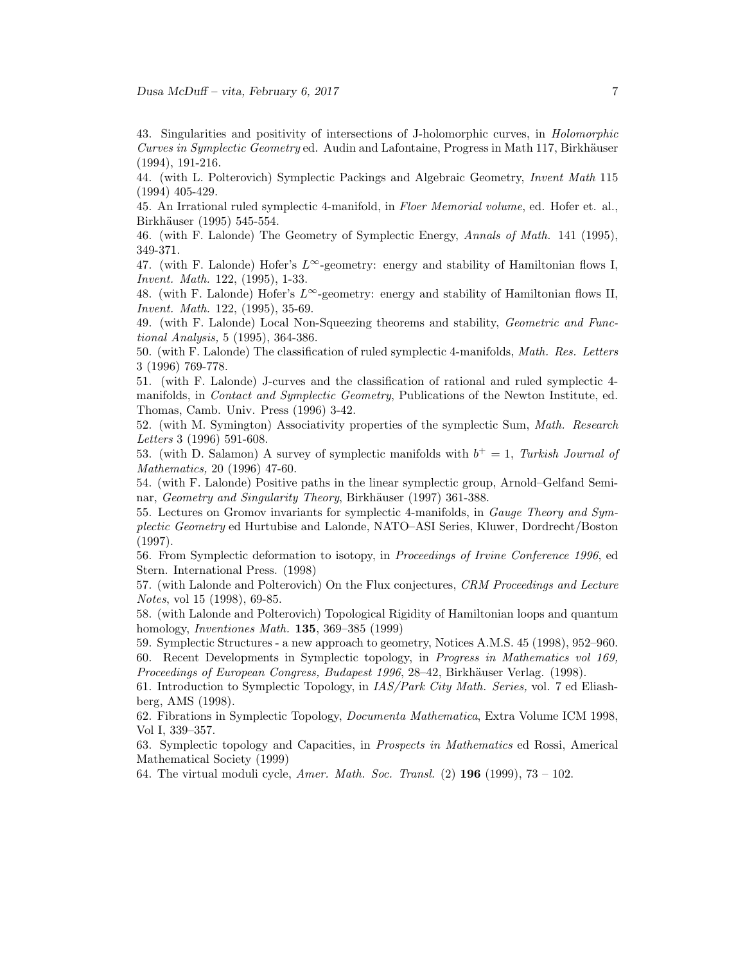43. Singularities and positivity of intersections of J-holomorphic curves, in Holomorphic Curves in Symplectic Geometry ed. Audin and Lafontaine, Progress in Math 117, Birkhäuser (1994), 191-216.

44. (with L. Polterovich) Symplectic Packings and Algebraic Geometry, Invent Math 115 (1994) 405-429.

45. An Irrational ruled symplectic 4-manifold, in Floer Memorial volume, ed. Hofer et. al., Birkhäuser (1995) 545-554.

46. (with F. Lalonde) The Geometry of Symplectic Energy, Annals of Math. 141 (1995), 349-371.

47. (with F. Lalonde) Hofer's  $L^{\infty}$ -geometry: energy and stability of Hamiltonian flows I, Invent. Math. 122, (1995), 1-33.

48. (with F. Lalonde) Hofer's  $L^{\infty}$ -geometry: energy and stability of Hamiltonian flows II, Invent. Math. 122, (1995), 35-69.

49. (with F. Lalonde) Local Non-Squeezing theorems and stability, Geometric and Functional Analysis, 5 (1995), 364-386.

50. (with F. Lalonde) The classification of ruled symplectic 4-manifolds, Math. Res. Letters 3 (1996) 769-778.

51. (with F. Lalonde) J-curves and the classification of rational and ruled symplectic 4 manifolds, in Contact and Symplectic Geometry, Publications of the Newton Institute, ed. Thomas, Camb. Univ. Press (1996) 3-42.

52. (with M. Symington) Associativity properties of the symplectic Sum, Math. Research Letters 3 (1996) 591-608.

53. (with D. Salamon) A survey of symplectic manifolds with  $b<sup>+</sup> = 1$ , Turkish Journal of Mathematics, 20 (1996) 47-60.

54. (with F. Lalonde) Positive paths in the linear symplectic group, Arnold–Gelfand Seminar, Geometry and Singularity Theory, Birkhäuser (1997) 361-388.

55. Lectures on Gromov invariants for symplectic 4-manifolds, in Gauge Theory and Symplectic Geometry ed Hurtubise and Lalonde, NATO–ASI Series, Kluwer, Dordrecht/Boston (1997).

56. From Symplectic deformation to isotopy, in Proceedings of Irvine Conference 1996, ed Stern. International Press. (1998)

57. (with Lalonde and Polterovich) On the Flux conjectures, CRM Proceedings and Lecture Notes, vol 15 (1998), 69-85.

58. (with Lalonde and Polterovich) Topological Rigidity of Hamiltonian loops and quantum homology, Inventiones Math. 135, 369–385 (1999)

59. Symplectic Structures - a new approach to geometry, Notices A.M.S. 45 (1998), 952–960. 60. Recent Developments in Symplectic topology, in Progress in Mathematics vol 169, Proceedings of European Congress, Budapest 1996, 28–42, Birkhäuser Verlag. (1998).

61. Introduction to Symplectic Topology, in IAS/Park City Math. Series, vol. 7 ed Eliashberg, AMS (1998).

62. Fibrations in Symplectic Topology, Documenta Mathematica, Extra Volume ICM 1998, Vol I, 339–357.

63. Symplectic topology and Capacities, in Prospects in Mathematics ed Rossi, Americal Mathematical Society (1999)

64. The virtual moduli cycle, *Amer. Math. Soc. Transl.* (2)  $196$  (1999),  $73 - 102$ .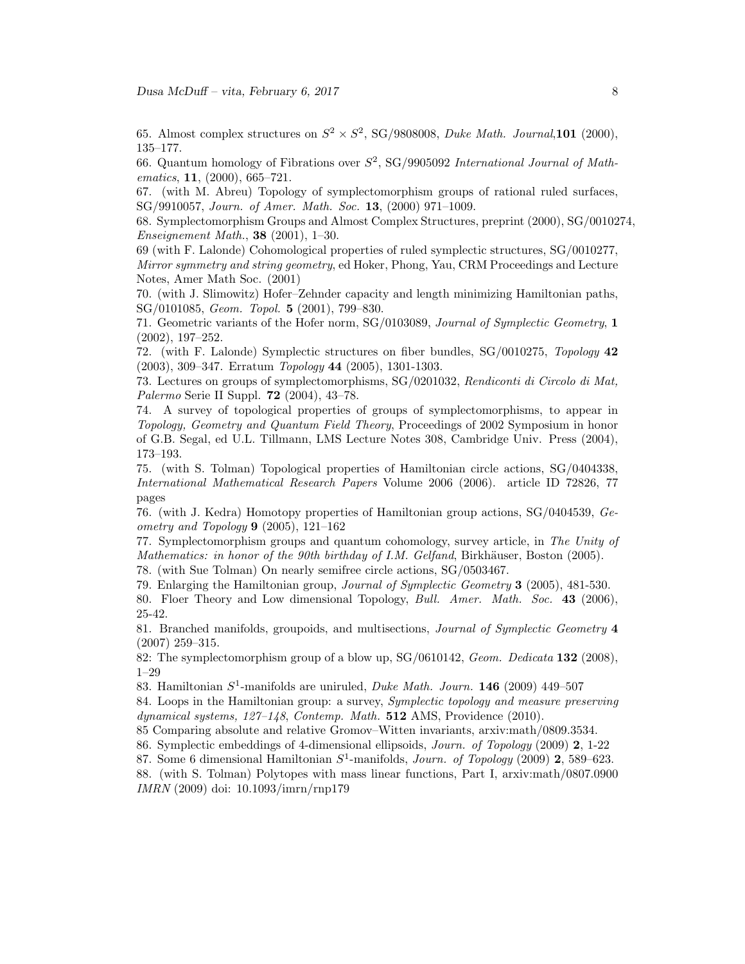65. Almost complex structures on  $S^2 \times S^2$ , SG/9808008, *Duke Math. Journal*, **101** (2000), 135–177.

66. Quantum homology of Fibrations over  $S^2$ , SG/9905092 International Journal of Mathematics, **11**, (2000), 665–721.

67. (with M. Abreu) Topology of symplectomorphism groups of rational ruled surfaces, SG/9910057, Journ. of Amer. Math. Soc. 13, (2000) 971–1009.

68. Symplectomorphism Groups and Almost Complex Structures, preprint (2000), SG/0010274, Enseignement Math., 38 (2001), 1–30.

69 (with F. Lalonde) Cohomological properties of ruled symplectic structures, SG/0010277, Mirror symmetry and string geometry, ed Hoker, Phong, Yau, CRM Proceedings and Lecture Notes, Amer Math Soc. (2001)

70. (with J. Slimowitz) Hofer–Zehnder capacity and length minimizing Hamiltonian paths, SG/0101085, Geom. Topol. 5 (2001), 799–830.

71. Geometric variants of the Hofer norm, SG/0103089, Journal of Symplectic Geometry, 1 (2002), 197–252.

72. (with F. Lalonde) Symplectic structures on fiber bundles, SG/0010275, Topology 42 (2003), 309–347. Erratum Topology 44 (2005), 1301-1303.

73. Lectures on groups of symplectomorphisms, SG/0201032, Rendiconti di Circolo di Mat, Palermo Serie II Suppl. 72 (2004), 43–78.

74. A survey of topological properties of groups of symplectomorphisms, to appear in Topology, Geometry and Quantum Field Theory, Proceedings of 2002 Symposium in honor of G.B. Segal, ed U.L. Tillmann, LMS Lecture Notes 308, Cambridge Univ. Press (2004), 173–193.

75. (with S. Tolman) Topological properties of Hamiltonian circle actions, SG/0404338, International Mathematical Research Papers Volume 2006 (2006). article ID 72826, 77 pages

76. (with J. Kedra) Homotopy properties of Hamiltonian group actions, SG/0404539, Geometry and Topology 9 (2005), 121–162

77. Symplectomorphism groups and quantum cohomology, survey article, in The Unity of Mathematics: in honor of the 90th birthday of I.M. Gelfand, Birkhäuser, Boston  $(2005)$ .

78. (with Sue Tolman) On nearly semifree circle actions, SG/0503467.

79. Enlarging the Hamiltonian group, Journal of Symplectic Geometry 3 (2005), 481-530.

80. Floer Theory and Low dimensional Topology, Bull. Amer. Math. Soc. 43 (2006), 25-42.

81. Branched manifolds, groupoids, and multisections, Journal of Symplectic Geometry 4 (2007) 259–315.

82: The symplectomorphism group of a blow up, SG/0610142, Geom. Dedicata 132 (2008), 1–29

83. Hamiltonian  $S^1$ -manifolds are uniruled, *Duke Math. Journ.* **146** (2009) 449–507

84. Loops in the Hamiltonian group: a survey, Symplectic topology and measure preserving dynamical systems, 127–148, Contemp. Math. 512 AMS, Providence (2010).

85 Comparing absolute and relative Gromov–Witten invariants, arxiv:math/0809.3534.

86. Symplectic embeddings of 4-dimensional ellipsoids, Journ. of Topology (2009) 2, 1-22

87. Some 6 dimensional Hamiltonian  $S^1$ -manifolds, Journ. of Topology (2009) 2, 589–623.

88. (with S. Tolman) Polytopes with mass linear functions, Part I, arxiv:math/0807.0900 IMRN (2009) doi: 10.1093/imrn/rnp179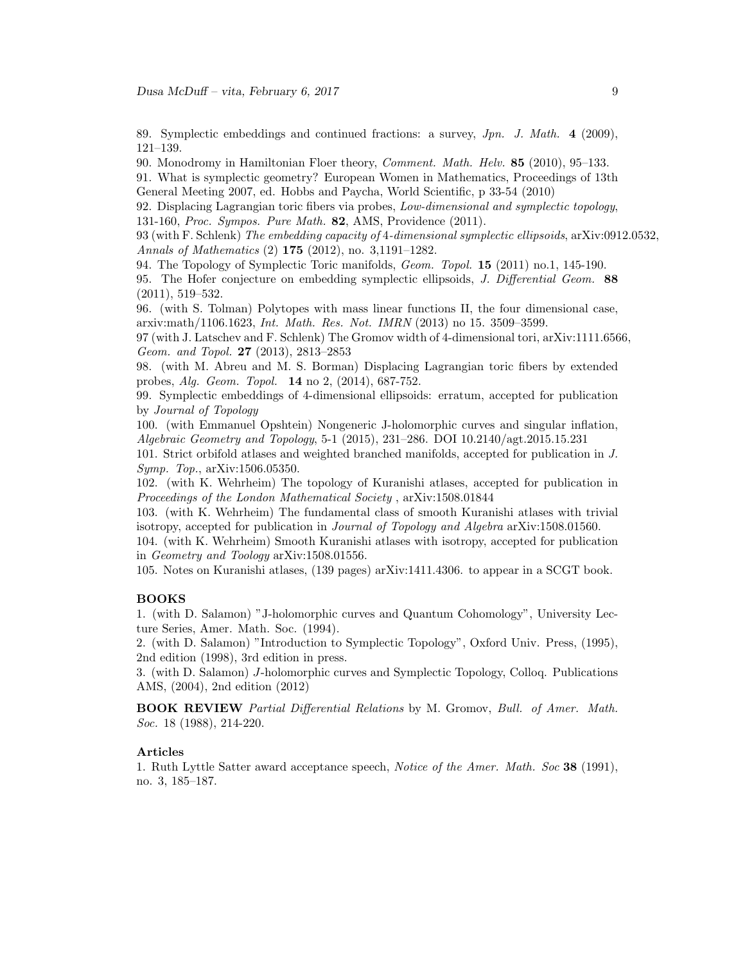89. Symplectic embeddings and continued fractions: a survey, Jpn. J. Math. 4 (2009), 121–139.

90. Monodromy in Hamiltonian Floer theory, Comment. Math. Helv. 85 (2010), 95–133.

91. What is symplectic geometry? European Women in Mathematics, Proceedings of 13th General Meeting 2007, ed. Hobbs and Paycha, World Scientific, p 33-54 (2010)

92. Displacing Lagrangian toric fibers via probes, Low-dimensional and symplectic topology, 131-160, Proc. Sympos. Pure Math. 82, AMS, Providence (2011).

93 (with F. Schlenk) The embedding capacity of 4-dimensional symplectic ellipsoids, arXiv:0912.0532, Annals of Mathematics (2) 175 (2012), no. 3,1191–1282.

94. The Topology of Symplectic Toric manifolds, Geom. Topol. 15 (2011) no.1, 145-190.

95. The Hofer conjecture on embedding symplectic ellipsoids, *J. Differential Geom.* 88 (2011), 519–532.

96. (with S. Tolman) Polytopes with mass linear functions II, the four dimensional case, arxiv:math/1106.1623, Int. Math. Res. Not. IMRN (2013) no 15. 3509–3599.

97 (with J. Latschev and F. Schlenk) The Gromov width of 4-dimensional tori, arXiv:1111.6566, Geom. and Topol. 27 (2013), 2813–2853

98. (with M. Abreu and M. S. Borman) Displacing Lagrangian toric fibers by extended probes, Alg. Geom. Topol. 14 no 2, (2014), 687-752.

99. Symplectic embeddings of 4-dimensional ellipsoids: erratum, accepted for publication by Journal of Topology

100. (with Emmanuel Opshtein) Nongeneric J-holomorphic curves and singular inflation, Algebraic Geometry and Topology, 5-1 (2015), 231–286. DOI 10.2140/agt.2015.15.231

101. Strict orbifold atlases and weighted branched manifolds, accepted for publication in J. Symp. Top., arXiv:1506.05350.

102. (with K. Wehrheim) The topology of Kuranishi atlases, accepted for publication in Proceedings of the London Mathematical Society , arXiv:1508.01844

103. (with K. Wehrheim) The fundamental class of smooth Kuranishi atlases with trivial isotropy, accepted for publication in Journal of Topology and Algebra arXiv:1508.01560.

104. (with K. Wehrheim) Smooth Kuranishi atlases with isotropy, accepted for publication in Geometry and Toology arXiv:1508.01556.

105. Notes on Kuranishi atlases, (139 pages) arXiv:1411.4306. to appear in a SCGT book.

### BOOKS

1. (with D. Salamon) "J-holomorphic curves and Quantum Cohomology", University Lecture Series, Amer. Math. Soc. (1994).

2. (with D. Salamon) "Introduction to Symplectic Topology", Oxford Univ. Press, (1995), 2nd edition (1998), 3rd edition in press.

3. (with D. Salamon) J-holomorphic curves and Symplectic Topology, Colloq. Publications AMS, (2004), 2nd edition (2012)

BOOK REVIEW Partial Differential Relations by M. Gromov, Bull. of Amer. Math. Soc. 18 (1988), 214-220.

### Articles

1. Ruth Lyttle Satter award acceptance speech, Notice of the Amer. Math. Soc 38 (1991), no. 3, 185–187.